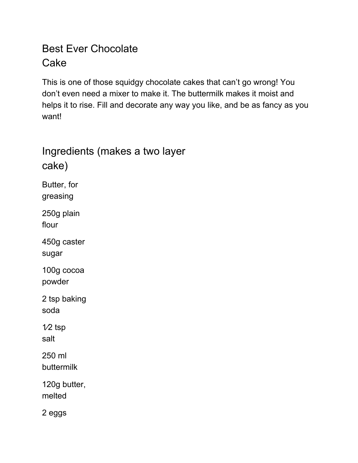## Best Ever Chocolate Cake

This is one of those squidgy chocolate cakes that can't go wrong! You don't even need a mixer to make it. The buttermilk makes it moist and helps it to rise. Fill and decorate any way you like, and be as fancy as you want!

## Ingredients (makes a two layer cake) Butter, for greasing 250g plain flour 450g caster sugar 100g cocoa powder 2 tsp baking soda 1⁄2 tsp salt 250 ml buttermilk 120g butter, melted 2 eggs